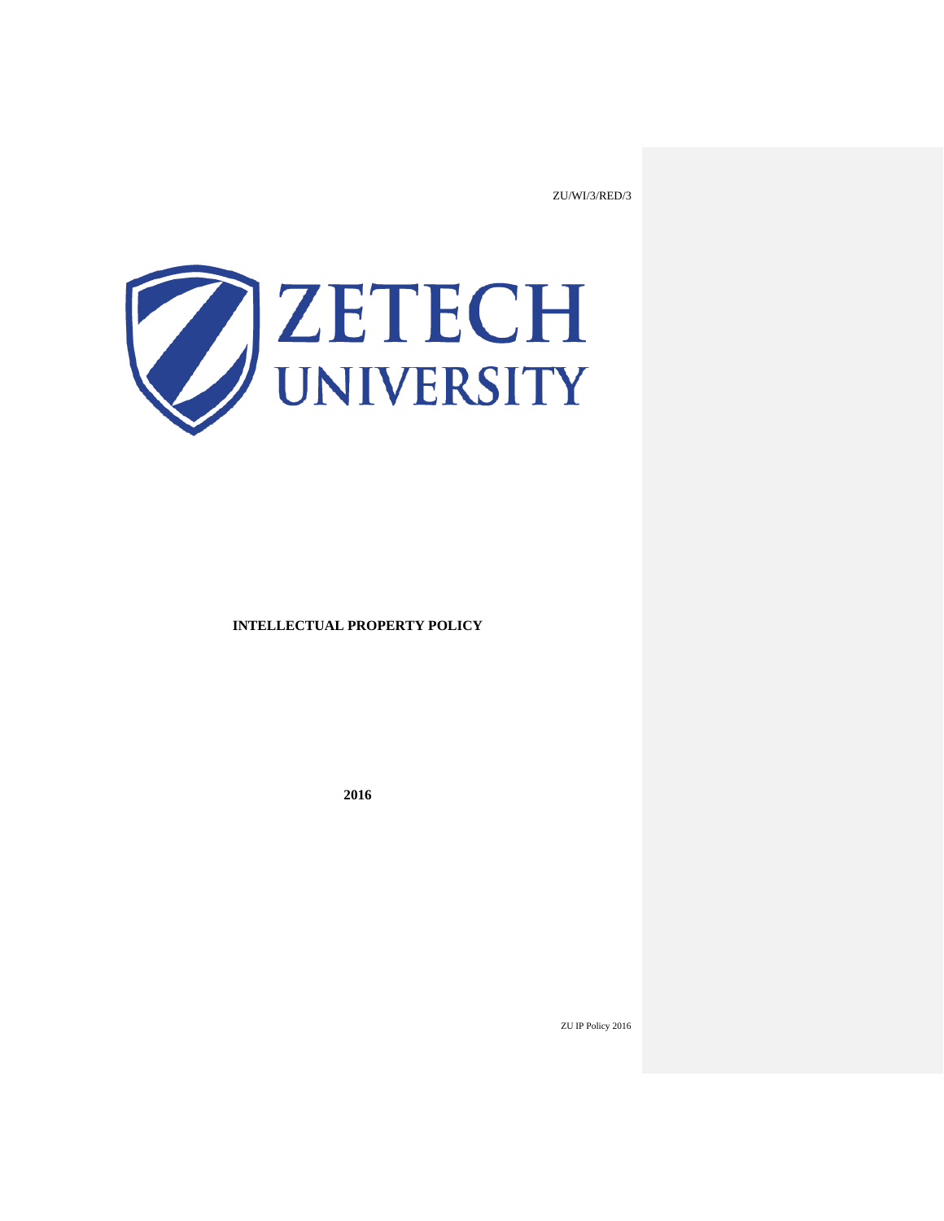ZU/WI/3/RED/3



## **INTELLECTUAL PROPERTY POLICY**

**2016**

ZU IP Policy 2016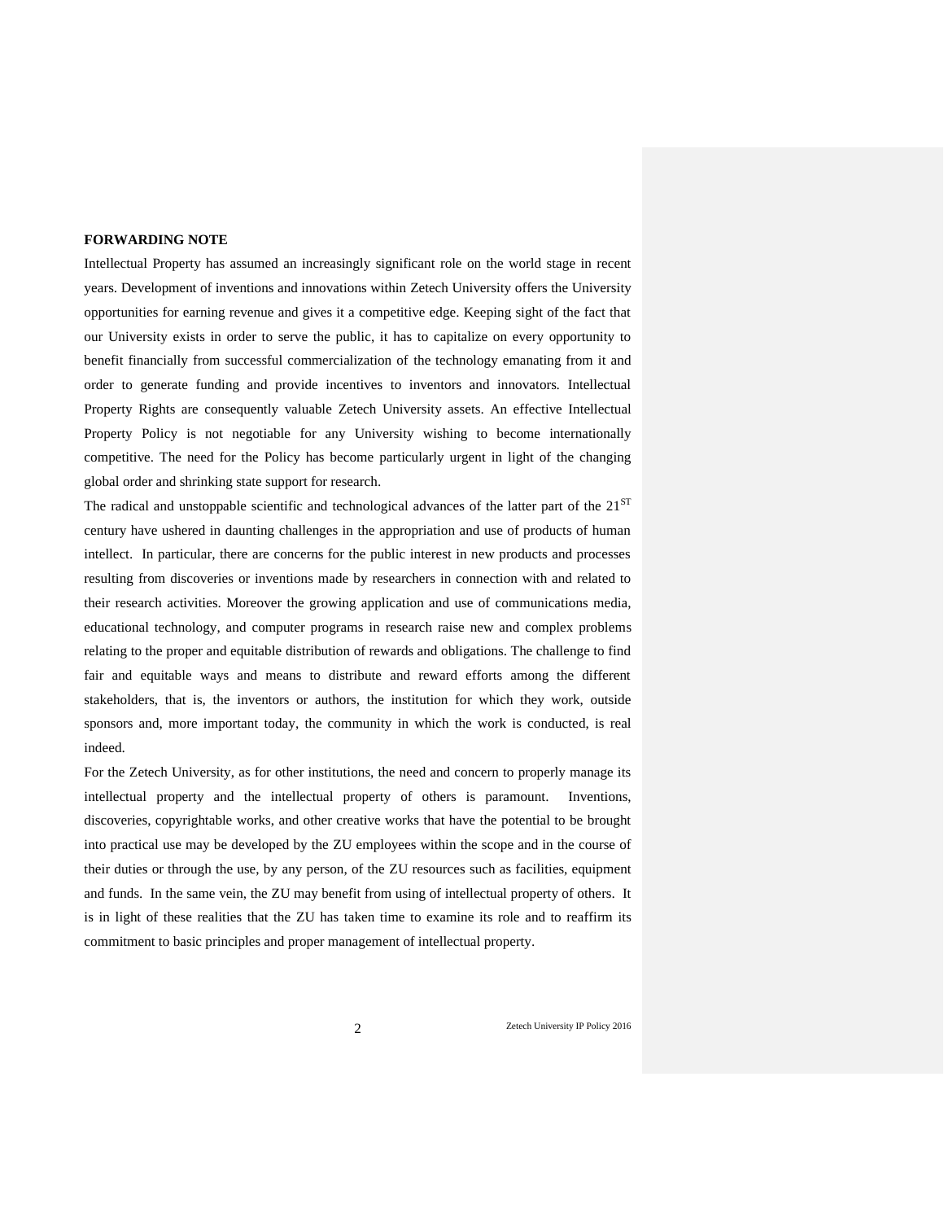#### **FORWARDING NOTE**

Intellectual Property has assumed an increasingly significant role on the world stage in recent years. Development of inventions and innovations within Zetech University offers the University opportunities for earning revenue and gives it a competitive edge. Keeping sight of the fact that our University exists in order to serve the public, it has to capitalize on every opportunity to benefit financially from successful commercialization of the technology emanating from it and order to generate funding and provide incentives to inventors and innovators. Intellectual Property Rights are consequently valuable Zetech University assets. An effective Intellectual Property Policy is not negotiable for any University wishing to become internationally competitive. The need for the Policy has become particularly urgent in light of the changing global order and shrinking state support for research.

The radical and unstoppable scientific and technological advances of the latter part of the 21<sup>ST</sup> century have ushered in daunting challenges in the appropriation and use of products of human intellect. In particular, there are concerns for the public interest in new products and processes resulting from discoveries or inventions made by researchers in connection with and related to their research activities. Moreover the growing application and use of communications media, educational technology, and computer programs in research raise new and complex problems relating to the proper and equitable distribution of rewards and obligations. The challenge to find fair and equitable ways and means to distribute and reward efforts among the different stakeholders, that is, the inventors or authors, the institution for which they work, outside sponsors and, more important today, the community in which the work is conducted, is real indeed.

For the Zetech University, as for other institutions, the need and concern to properly manage its intellectual property and the intellectual property of others is paramount. Inventions, discoveries, copyrightable works, and other creative works that have the potential to be brought into practical use may be developed by the ZU employees within the scope and in the course of their duties or through the use, by any person, of the ZU resources such as facilities, equipment and funds. In the same vein, the ZU may benefit from using of intellectual property of others. It is in light of these realities that the ZU has taken time to examine its role and to reaffirm its commitment to basic principles and proper management of intellectual property.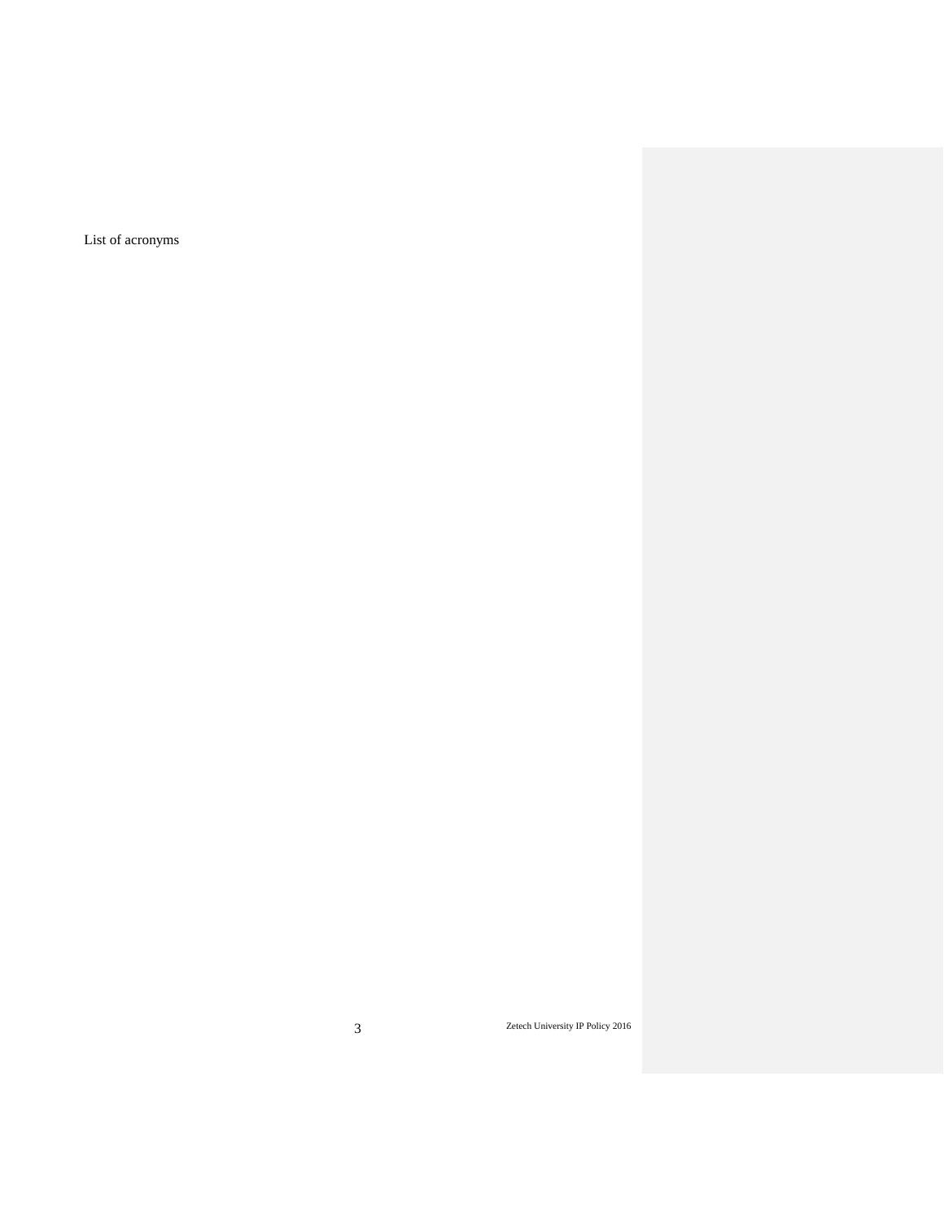List of acronyms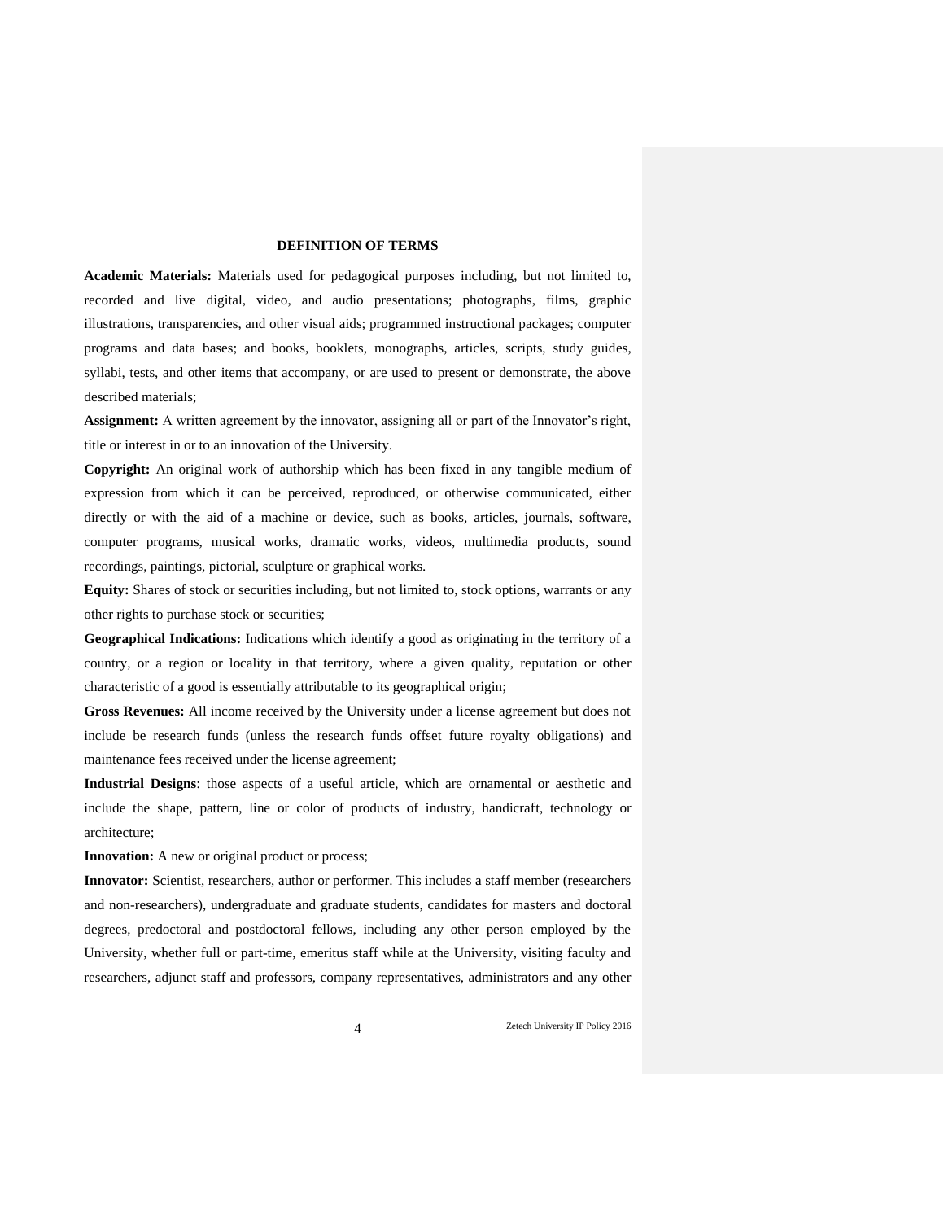## **DEFINITION OF TERMS**

**Academic Materials:** Materials used for pedagogical purposes including, but not limited to, recorded and live digital, video, and audio presentations; photographs, films, graphic illustrations, transparencies, and other visual aids; programmed instructional packages; computer programs and data bases; and books, booklets, monographs, articles, scripts, study guides, syllabi, tests, and other items that accompany, or are used to present or demonstrate, the above described materials;

**Assignment:** A written agreement by the innovator, assigning all or part of the Innovator's right, title or interest in or to an innovation of the University.

**Copyright:** An original work of authorship which has been fixed in any tangible medium of expression from which it can be perceived, reproduced, or otherwise communicated, either directly or with the aid of a machine or device, such as books, articles, journals, software, computer programs, musical works, dramatic works, videos, multimedia products, sound recordings, paintings, pictorial, sculpture or graphical works.

**Equity:** Shares of stock or securities including, but not limited to, stock options, warrants or any other rights to purchase stock or securities;

**Geographical Indications:** Indications which identify a good as originating in the territory of a country, or a region or locality in that territory, where a given quality, reputation or other characteristic of a good is essentially attributable to its geographical origin;

**Gross Revenues:** All income received by the University under a license agreement but does not include be research funds (unless the research funds offset future royalty obligations) and maintenance fees received under the license agreement;

**Industrial Designs**: those aspects of a useful article, which are ornamental or aesthetic and include the shape, pattern, line or color of products of industry, handicraft, technology or architecture;

**Innovation:** A new or original product or process;

**Innovator:** Scientist, researchers, author or performer. This includes a staff member (researchers and non-researchers), undergraduate and graduate students, candidates for masters and doctoral degrees, predoctoral and postdoctoral fellows, including any other person employed by the University, whether full or part-time, emeritus staff while at the University, visiting faculty and researchers, adjunct staff and professors, company representatives, administrators and any other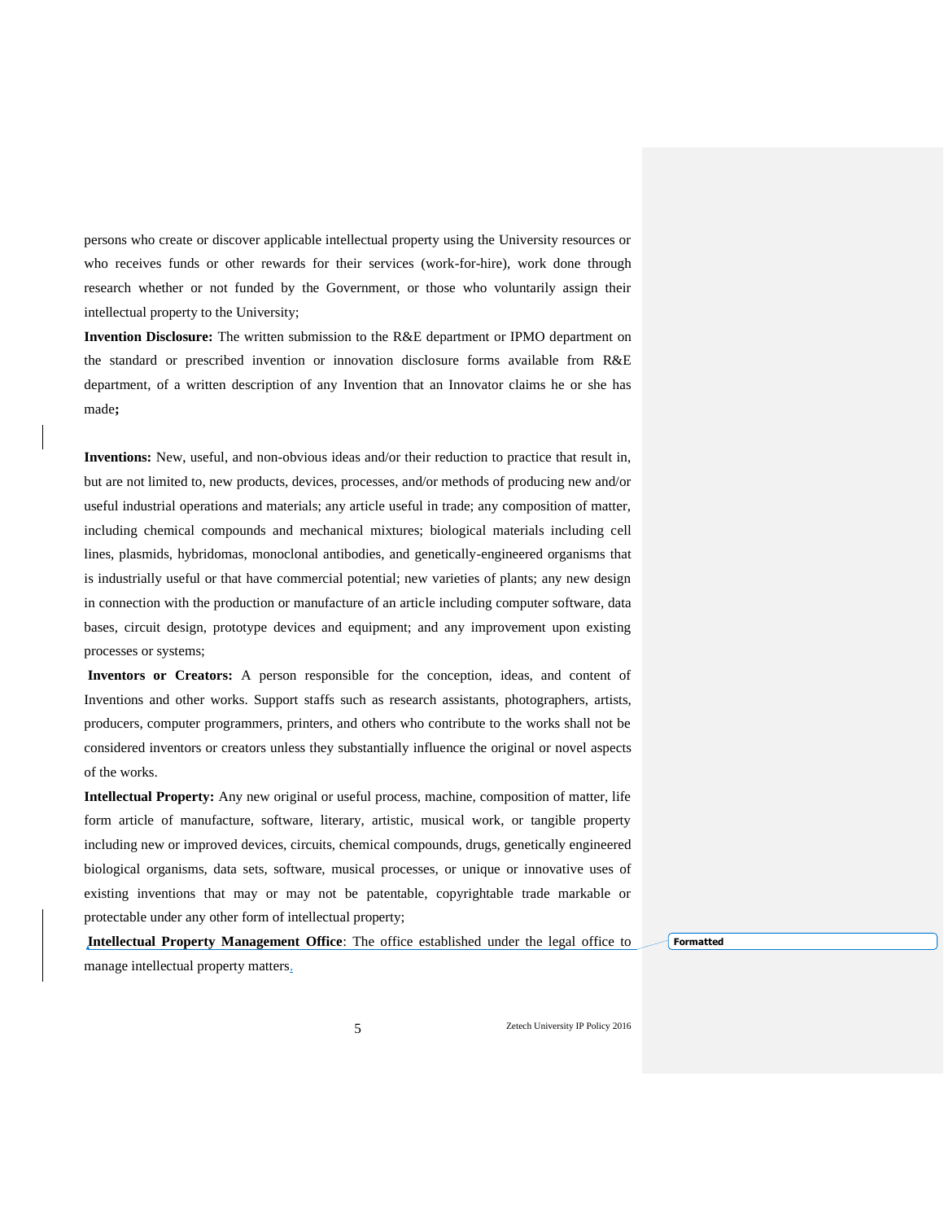persons who create or discover applicable intellectual property using the University resources or who receives funds or other rewards for their services (work-for-hire), work done through research whether or not funded by the Government, or those who voluntarily assign their intellectual property to the University;

**Invention Disclosure:** The written submission to the R&E department or IPMO department on the standard or prescribed invention or innovation disclosure forms available from R&E department, of a written description of any Invention that an Innovator claims he or she has made**;**

**Inventions:** New, useful, and non-obvious ideas and/or their reduction to practice that result in, but are not limited to, new products, devices, processes, and/or methods of producing new and/or useful industrial operations and materials; any article useful in trade; any composition of matter, including chemical compounds and mechanical mixtures; biological materials including cell lines, plasmids, hybridomas, monoclonal antibodies, and genetically-engineered organisms that is industrially useful or that have commercial potential; new varieties of plants; any new design in connection with the production or manufacture of an article including computer software, data bases, circuit design, prototype devices and equipment; and any improvement upon existing processes or systems;

**Inventors or Creators:** A person responsible for the conception, ideas, and content of Inventions and other works. Support staffs such as research assistants, photographers, artists, producers, computer programmers, printers, and others who contribute to the works shall not be considered inventors or creators unless they substantially influence the original or novel aspects of the works.

**Intellectual Property:** Any new original or useful process, machine, composition of matter, life form article of manufacture, software, literary, artistic, musical work, or tangible property including new or improved devices, circuits, chemical compounds, drugs, genetically engineered biological organisms, data sets, software, musical processes, or unique or innovative uses of existing inventions that may or may not be patentable, copyrightable trade markable or protectable under any other form of intellectual property;

**Intellectual Property Management Office**: The office established under the legal office to manage intellectual property matters.

**Formatted**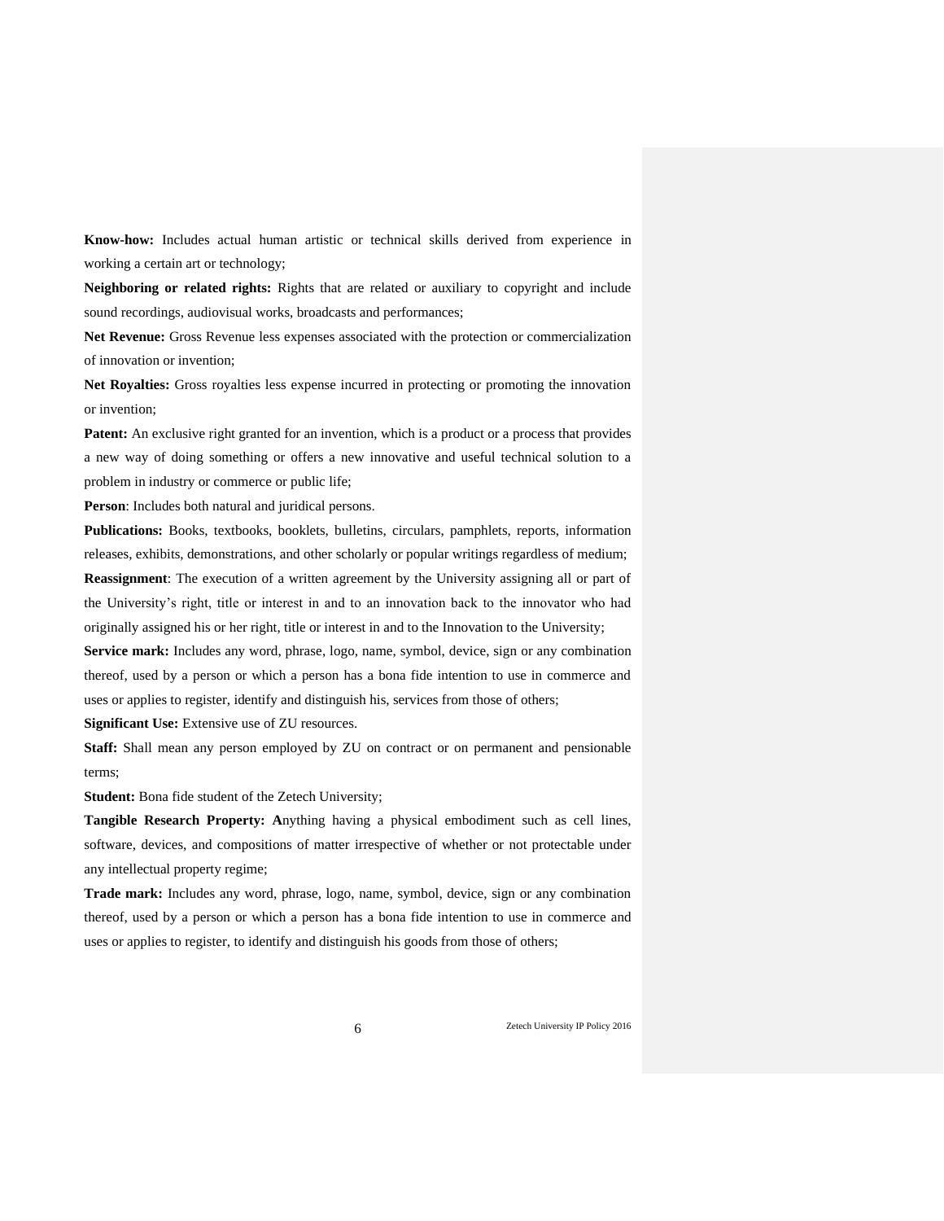**Know-how:** Includes actual human artistic or technical skills derived from experience in working a certain art or technology;

**Neighboring or related rights:** Rights that are related or auxiliary to copyright and include sound recordings, audiovisual works, broadcasts and performances;

**Net Revenue:** Gross Revenue less expenses associated with the protection or commercialization of innovation or invention;

**Net Royalties:** Gross royalties less expense incurred in protecting or promoting the innovation or invention;

**Patent:** An exclusive right granted for an invention, which is a product or a process that provides a new way of doing something or offers a new innovative and useful technical solution to a problem in industry or commerce or public life;

**Person**: Includes both natural and juridical persons.

**Publications:** Books, textbooks, booklets, bulletins, circulars, pamphlets, reports, information releases, exhibits, demonstrations, and other scholarly or popular writings regardless of medium; **Reassignment**: The execution of a written agreement by the University assigning all or part of the University's right, title or interest in and to an innovation back to the innovator who had originally assigned his or her right, title or interest in and to the Innovation to the University;

**Service mark:** Includes any word, phrase, logo, name, symbol, device, sign or any combination thereof, used by a person or which a person has a bona fide intention to use in commerce and uses or applies to register, identify and distinguish his, services from those of others;

**Significant Use:** Extensive use of ZU resources.

**Staff:** Shall mean any person employed by ZU on contract or on permanent and pensionable terms;

**Student:** Bona fide student of the Zetech University;

**Tangible Research Property: A**nything having a physical embodiment such as cell lines, software, devices, and compositions of matter irrespective of whether or not protectable under any intellectual property regime;

**Trade mark:** Includes any word, phrase, logo, name, symbol, device, sign or any combination thereof, used by a person or which a person has a bona fide intention to use in commerce and uses or applies to register, to identify and distinguish his goods from those of others;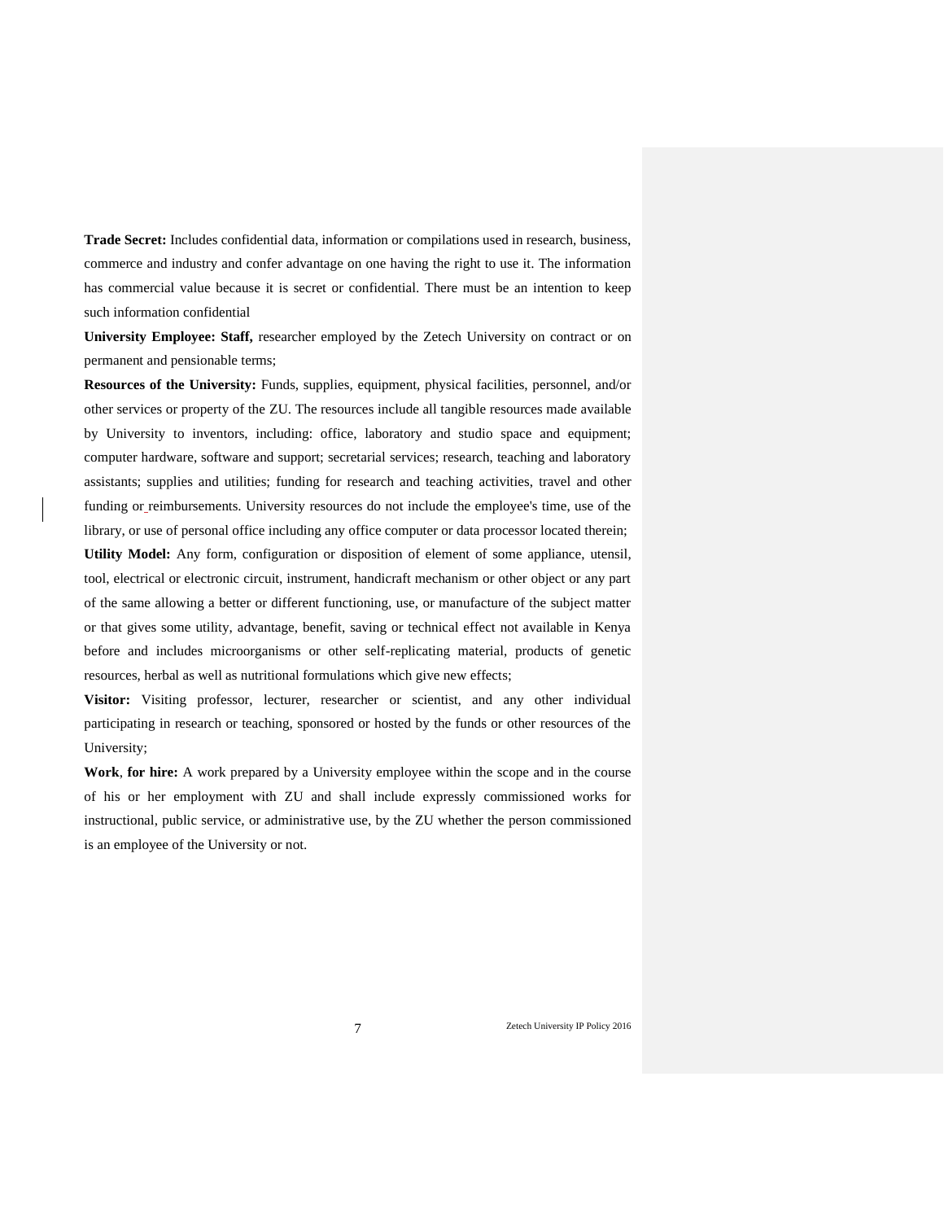**Trade Secret:** Includes confidential data, information or compilations used in research, business, commerce and industry and confer advantage on one having the right to use it. The information has commercial value because it is secret or confidential. There must be an intention to keep such information confidential

**University Employee: Staff,** researcher employed by the Zetech University on contract or on permanent and pensionable terms;

**Resources of the University:** Funds, supplies, equipment, physical facilities, personnel, and/or other services or property of the ZU. The resources include all tangible resources made available by University to inventors, including: office, laboratory and studio space and equipment; computer hardware, software and support; secretarial services; research, teaching and laboratory assistants; supplies and utilities; funding for research and teaching activities, travel and other funding or reimbursements. University resources do not include the employee's time, use of the library, or use of personal office including any office computer or data processor located therein; **Utility Model:** Any form, configuration or disposition of element of some appliance, utensil, tool, electrical or electronic circuit, instrument, handicraft mechanism or other object or any part of the same allowing a better or different functioning, use, or manufacture of the subject matter or that gives some utility, advantage, benefit, saving or technical effect not available in Kenya before and includes microorganisms or other self-replicating material, products of genetic resources, herbal as well as nutritional formulations which give new effects;

**Visitor:** Visiting professor, lecturer, researcher or scientist, and any other individual participating in research or teaching, sponsored or hosted by the funds or other resources of the University;

**Work**, **for hire:** A work prepared by a University employee within the scope and in the course of his or her employment with ZU and shall include expressly commissioned works for instructional, public service, or administrative use, by the ZU whether the person commissioned is an employee of the University or not.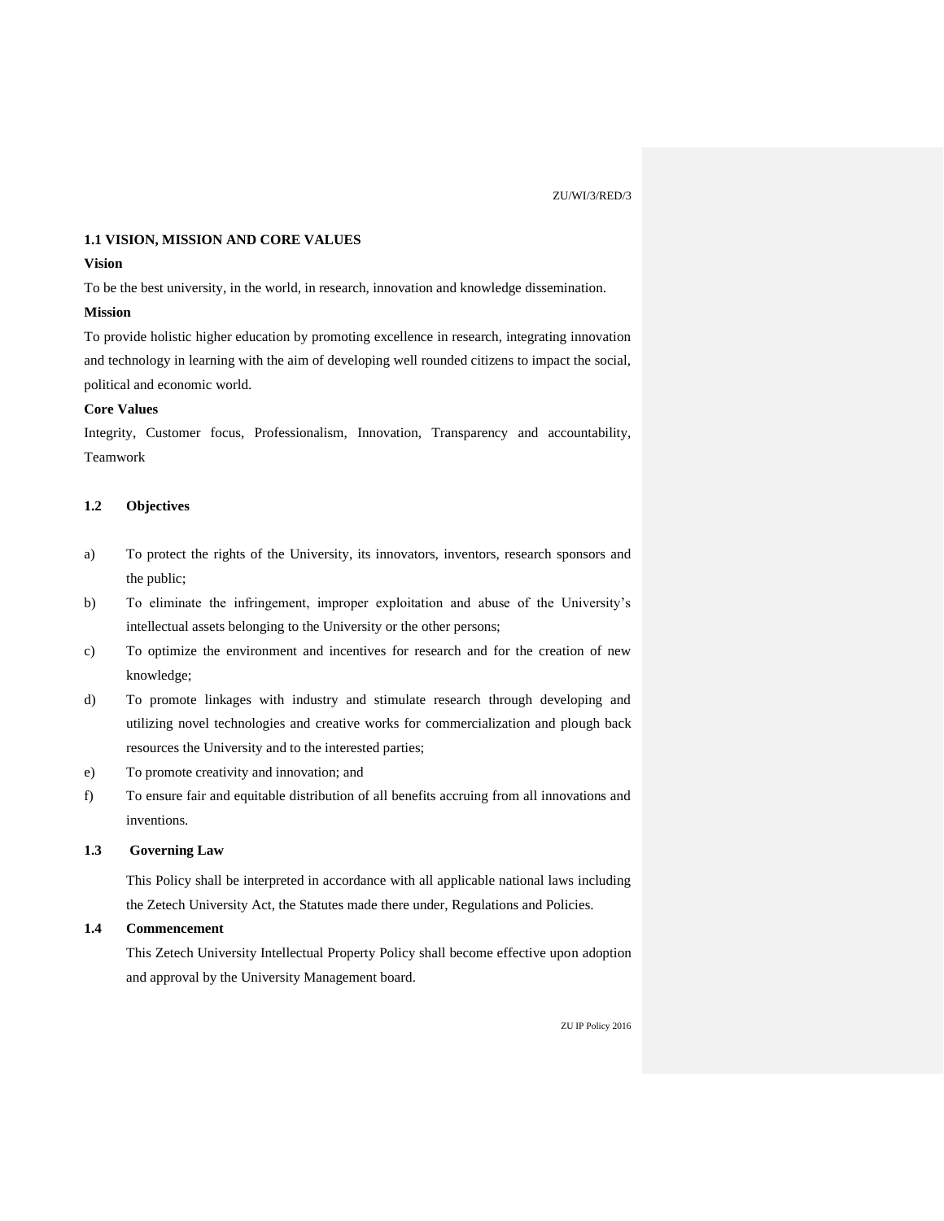#### **1.1 VISION, MISSION AND CORE VALUES**

## **Vision**

To be the best university, in the world, in research, innovation and knowledge dissemination.

## **Mission**

To provide holistic higher education by promoting excellence in research, integrating innovation and technology in learning with the aim of developing well rounded citizens to impact the social, political and economic world.

## **Core Values**

Integrity, Customer focus, Professionalism, Innovation, Transparency and accountability, Teamwork

## **1.2 Objectives**

- a) To protect the rights of the University, its innovators, inventors, research sponsors and the public;
- b) To eliminate the infringement, improper exploitation and abuse of the University's intellectual assets belonging to the University or the other persons;
- c) To optimize the environment and incentives for research and for the creation of new knowledge;
- d) To promote linkages with industry and stimulate research through developing and utilizing novel technologies and creative works for commercialization and plough back resources the University and to the interested parties;
- e) To promote creativity and innovation; and
- f) To ensure fair and equitable distribution of all benefits accruing from all innovations and inventions.

## **1.3 Governing Law**

This Policy shall be interpreted in accordance with all applicable national laws including the Zetech University Act, the Statutes made there under, Regulations and Policies.

# **1.4 Commencement**

This Zetech University Intellectual Property Policy shall become effective upon adoption and approval by the University Management board.

ZU IP Policy 2016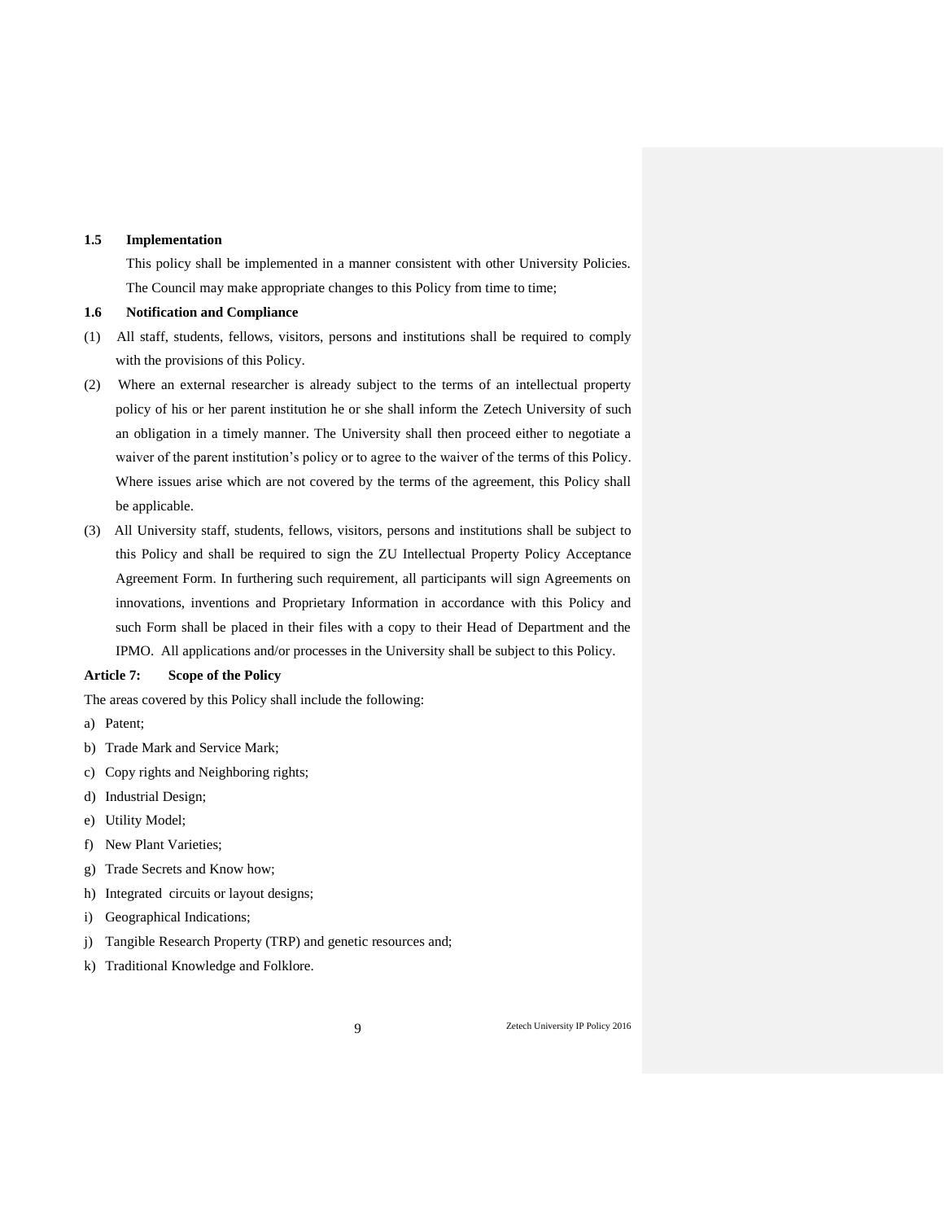#### **1.5 Implementation**

This policy shall be implemented in a manner consistent with other University Policies. The Council may make appropriate changes to this Policy from time to time;

## **1.6 Notification and Compliance**

- (1) All staff, students, fellows, visitors, persons and institutions shall be required to comply with the provisions of this Policy.
- (2) Where an external researcher is already subject to the terms of an intellectual property policy of his or her parent institution he or she shall inform the Zetech University of such an obligation in a timely manner. The University shall then proceed either to negotiate a waiver of the parent institution's policy or to agree to the waiver of the terms of this Policy. Where issues arise which are not covered by the terms of the agreement, this Policy shall be applicable.
- (3) All University staff, students, fellows, visitors, persons and institutions shall be subject to this Policy and shall be required to sign the ZU Intellectual Property Policy Acceptance Agreement Form. In furthering such requirement, all participants will sign Agreements on innovations, inventions and Proprietary Information in accordance with this Policy and such Form shall be placed in their files with a copy to their Head of Department and the IPMO. All applications and/or processes in the University shall be subject to this Policy.

#### **Article 7: Scope of the Policy**

The areas covered by this Policy shall include the following:

- a) Patent;
- b) Trade Mark and Service Mark;
- c) Copy rights and Neighboring rights;
- d) Industrial Design;
- e) Utility Model;
- f) New Plant Varieties;
- g) Trade Secrets and Know how;
- h) Integrated circuits or layout designs;
- i) Geographical Indications;
- j) Tangible Research Property (TRP) and genetic resources and;
- k) Traditional Knowledge and Folklore.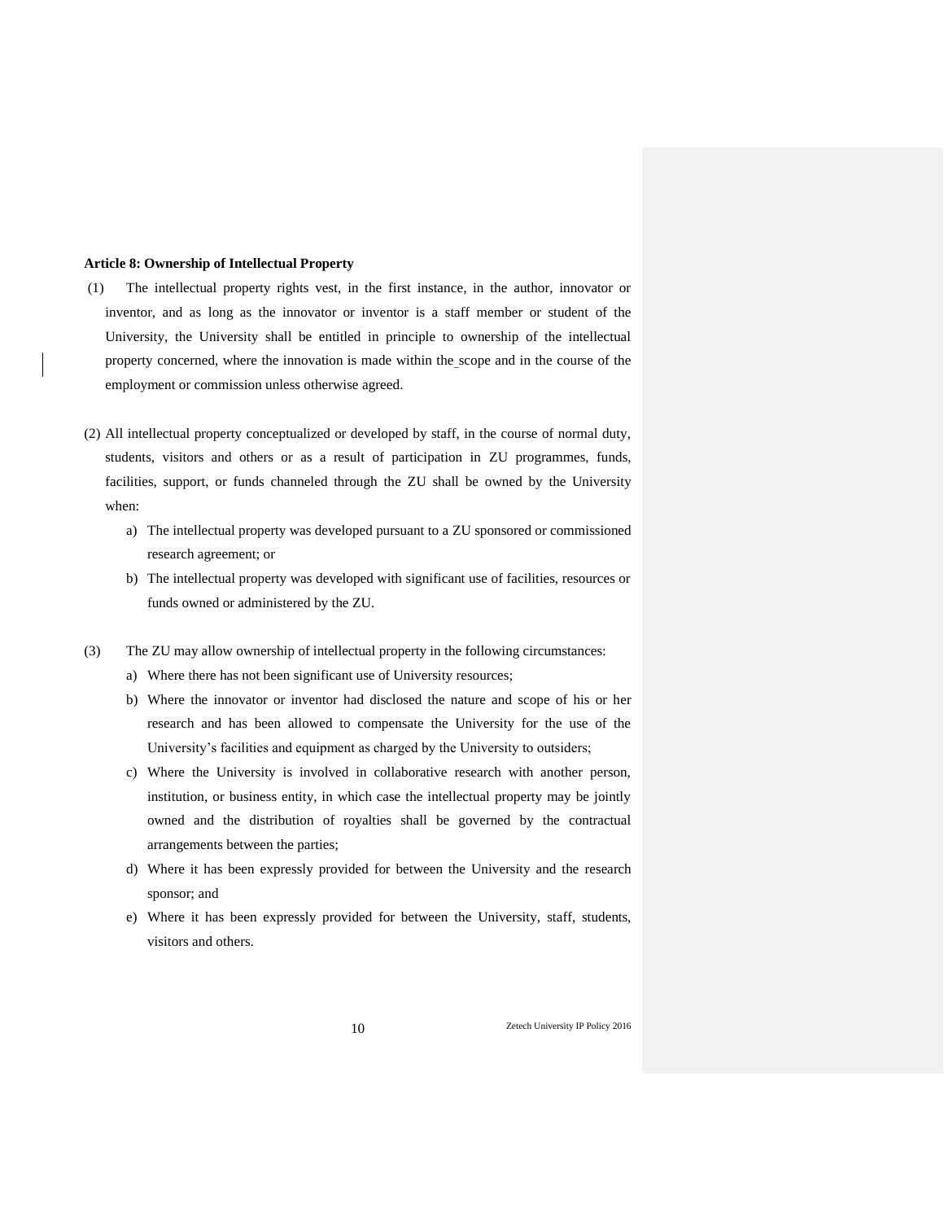## **Article 8: Ownership of Intellectual Property**

- (1) The intellectual property rights vest, in the first instance, in the author, innovator or inventor, and as long as the innovator or inventor is a staff member or student of the University, the University shall be entitled in principle to ownership of the intellectual property concerned, where the innovation is made within the scope and in the course of the employment or commission unless otherwise agreed.
- (2) All intellectual property conceptualized or developed by staff, in the course of normal duty, students, visitors and others or as a result of participation in ZU programmes, funds, facilities, support, or funds channeled through the ZU shall be owned by the University when:
	- a) The intellectual property was developed pursuant to a ZU sponsored or commissioned research agreement; or
	- b) The intellectual property was developed with significant use of facilities, resources or funds owned or administered by the ZU.
- (3) The ZU may allow ownership of intellectual property in the following circumstances:
	- a) Where there has not been significant use of University resources;
	- b) Where the innovator or inventor had disclosed the nature and scope of his or her research and has been allowed to compensate the University for the use of the University's facilities and equipment as charged by the University to outsiders;
	- c) Where the University is involved in collaborative research with another person, institution, or business entity, in which case the intellectual property may be jointly owned and the distribution of royalties shall be governed by the contractual arrangements between the parties;
	- d) Where it has been expressly provided for between the University and the research sponsor; and
	- e) Where it has been expressly provided for between the University, staff, students, visitors and others.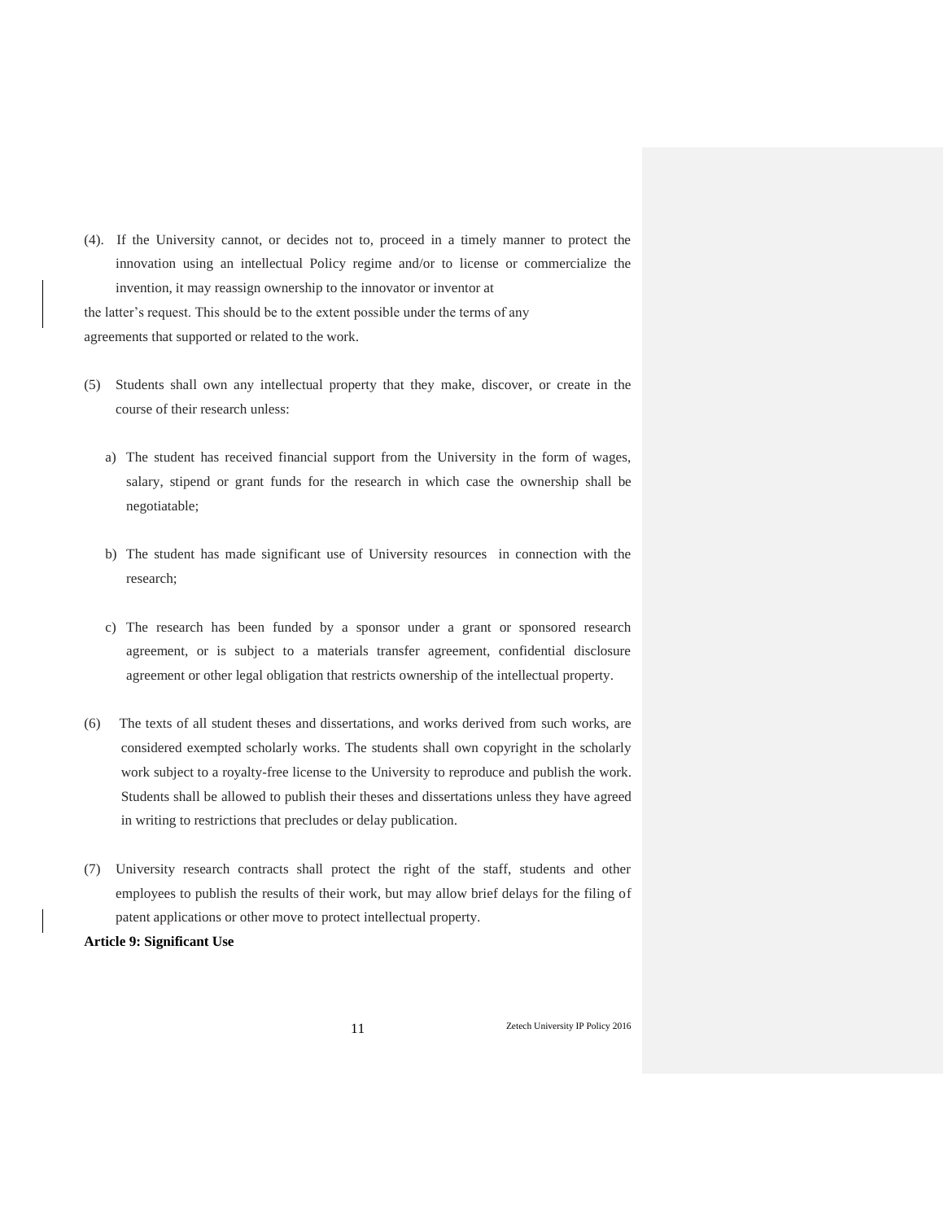(4). If the University cannot, or decides not to, proceed in a timely manner to protect the innovation using an intellectual Policy regime and/or to license or commercialize the invention, it may reassign ownership to the innovator or inventor at the latter's request. This should be to the extent possible under the terms of any

agreements that supported or related to the work.

- (5) Students shall own any intellectual property that they make, discover, or create in the course of their research unless:
	- a) The student has received financial support from the University in the form of wages, salary, stipend or grant funds for the research in which case the ownership shall be negotiatable;
	- b) The student has made significant use of University resources in connection with the research;
	- c) The research has been funded by a sponsor under a grant or sponsored research agreement, or is subject to a materials transfer agreement, confidential disclosure agreement or other legal obligation that restricts ownership of the intellectual property.
- (6) The texts of all student theses and dissertations, and works derived from such works, are considered exempted scholarly works. The students shall own copyright in the scholarly work subject to a royalty-free license to the University to reproduce and publish the work. Students shall be allowed to publish their theses and dissertations unless they have agreed in writing to restrictions that precludes or delay publication.
- (7) University research contracts shall protect the right of the staff, students and other employees to publish the results of their work, but may allow brief delays for the filing of patent applications or other move to protect intellectual property.

**Article 9: Significant Use**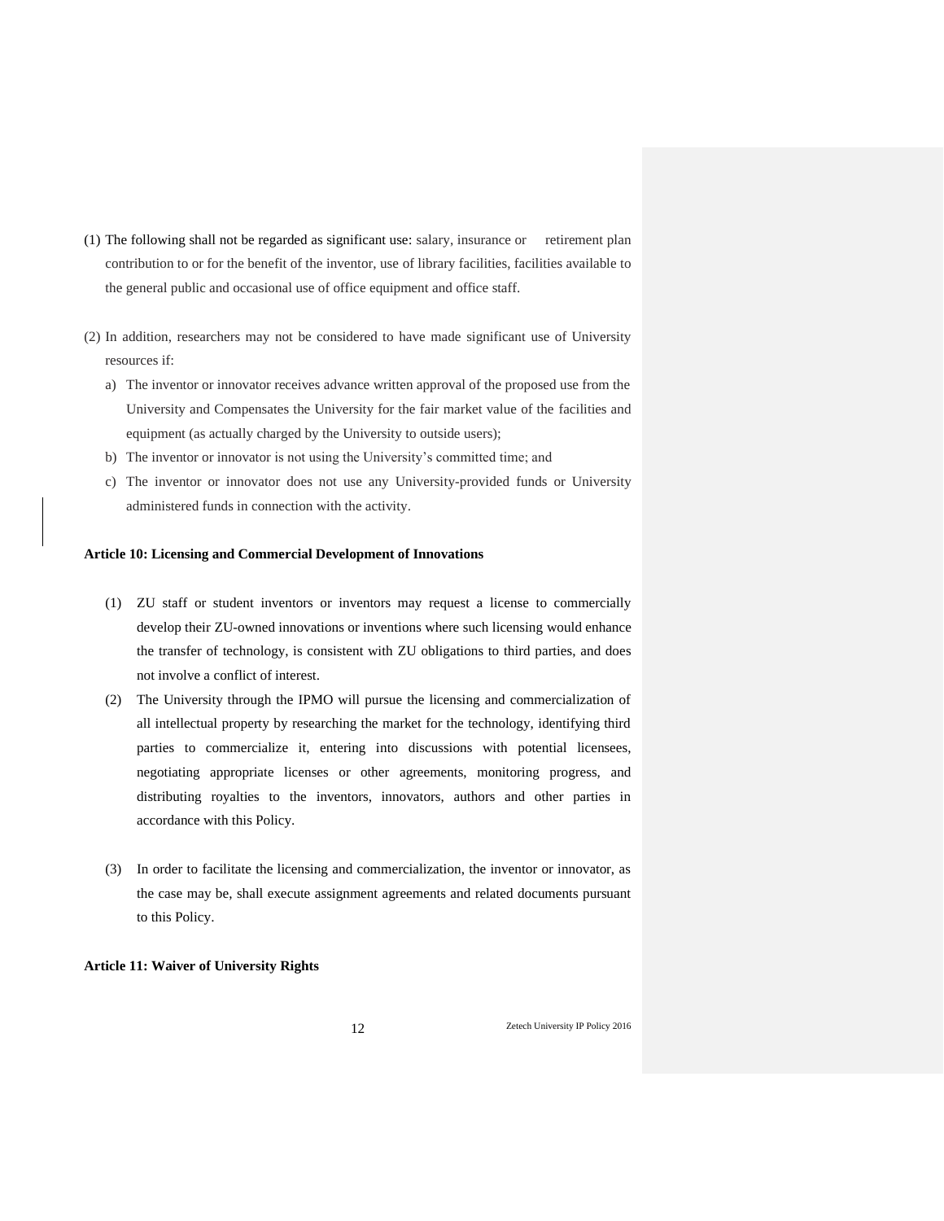- (1) The following shall not be regarded as significant use: salary, insurance or retirement plan contribution to or for the benefit of the inventor, use of library facilities, facilities available to the general public and occasional use of office equipment and office staff.
- (2) In addition, researchers may not be considered to have made significant use of University resources if:
	- a) The inventor or innovator receives advance written approval of the proposed use from the University and Compensates the University for the fair market value of the facilities and equipment (as actually charged by the University to outside users);
	- b) The inventor or innovator is not using the University's committed time; and
	- c) The inventor or innovator does not use any University-provided funds or University administered funds in connection with the activity.

## **Article 10: Licensing and Commercial Development of Innovations**

- (1) ZU staff or student inventors or inventors may request a license to commercially develop their ZU-owned innovations or inventions where such licensing would enhance the transfer of technology, is consistent with ZU obligations to third parties, and does not involve a conflict of interest.
- (2) The University through the IPMO will pursue the licensing and commercialization of all intellectual property by researching the market for the technology, identifying third parties to commercialize it, entering into discussions with potential licensees, negotiating appropriate licenses or other agreements, monitoring progress, and distributing royalties to the inventors, innovators, authors and other parties in accordance with this Policy.
- (3) In order to facilitate the licensing and commercialization, the inventor or innovator, as the case may be, shall execute assignment agreements and related documents pursuant to this Policy.

## **Article 11: Waiver of University Rights**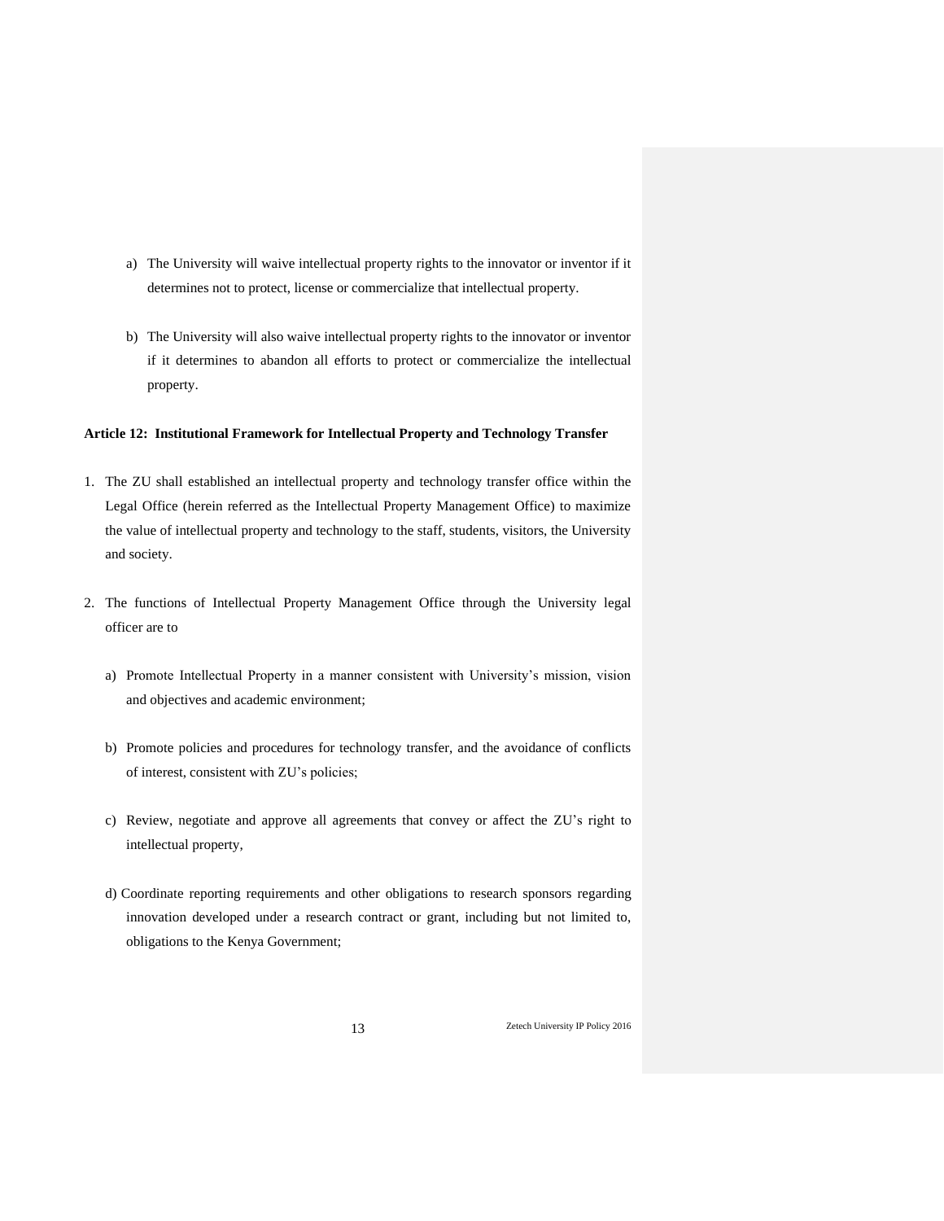- a) The University will waive intellectual property rights to the innovator or inventor if it determines not to protect, license or commercialize that intellectual property.
- b) The University will also waive intellectual property rights to the innovator or inventor if it determines to abandon all efforts to protect or commercialize the intellectual property.

### **Article 12: Institutional Framework for Intellectual Property and Technology Transfer**

- 1. The ZU shall established an intellectual property and technology transfer office within the Legal Office (herein referred as the Intellectual Property Management Office) to maximize the value of intellectual property and technology to the staff, students, visitors, the University and society.
- 2. The functions of Intellectual Property Management Office through the University legal officer are to
	- a) Promote Intellectual Property in a manner consistent with University's mission, vision and objectives and academic environment;
	- b) Promote policies and procedures for technology transfer, and the avoidance of conflicts of interest, consistent with ZU's policies;
	- c) Review, negotiate and approve all agreements that convey or affect the ZU's right to intellectual property,
	- d) Coordinate reporting requirements and other obligations to research sponsors regarding innovation developed under a research contract or grant, including but not limited to, obligations to the Kenya Government;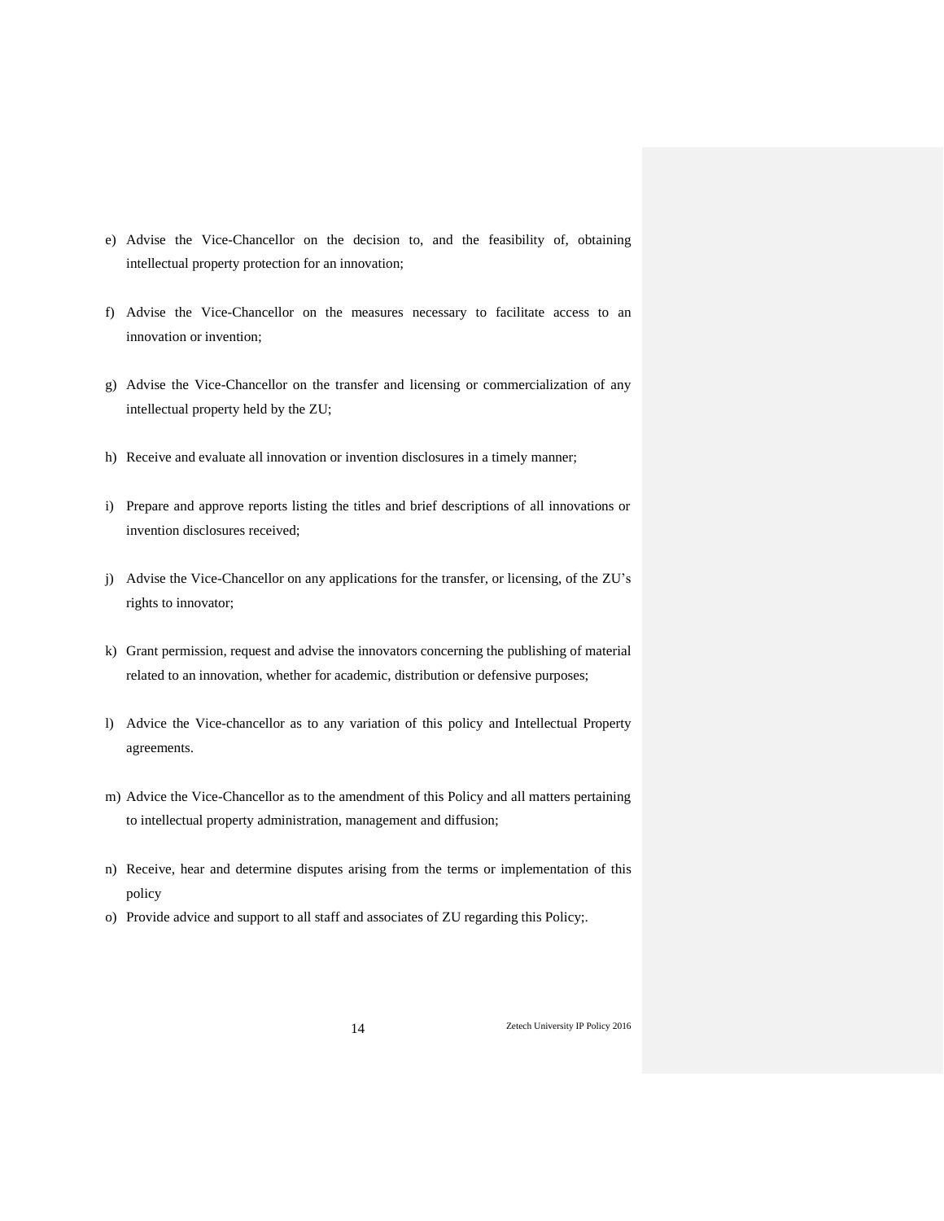- e) Advise the Vice-Chancellor on the decision to, and the feasibility of, obtaining intellectual property protection for an innovation;
- f) Advise the Vice-Chancellor on the measures necessary to facilitate access to an innovation or invention;
- g) Advise the Vice-Chancellor on the transfer and licensing or commercialization of any intellectual property held by the ZU;
- h) Receive and evaluate all innovation or invention disclosures in a timely manner;
- i) Prepare and approve reports listing the titles and brief descriptions of all innovations or invention disclosures received;
- j) Advise the Vice-Chancellor on any applications for the transfer, or licensing, of the ZU's rights to innovator;
- k) Grant permission, request and advise the innovators concerning the publishing of material related to an innovation, whether for academic, distribution or defensive purposes;
- l) Advice the Vice-chancellor as to any variation of this policy and Intellectual Property agreements.
- m) Advice the Vice-Chancellor as to the amendment of this Policy and all matters pertaining to intellectual property administration, management and diffusion;
- n) Receive, hear and determine disputes arising from the terms or implementation of this policy
- o) Provide advice and support to all staff and associates of ZU regarding this Policy;.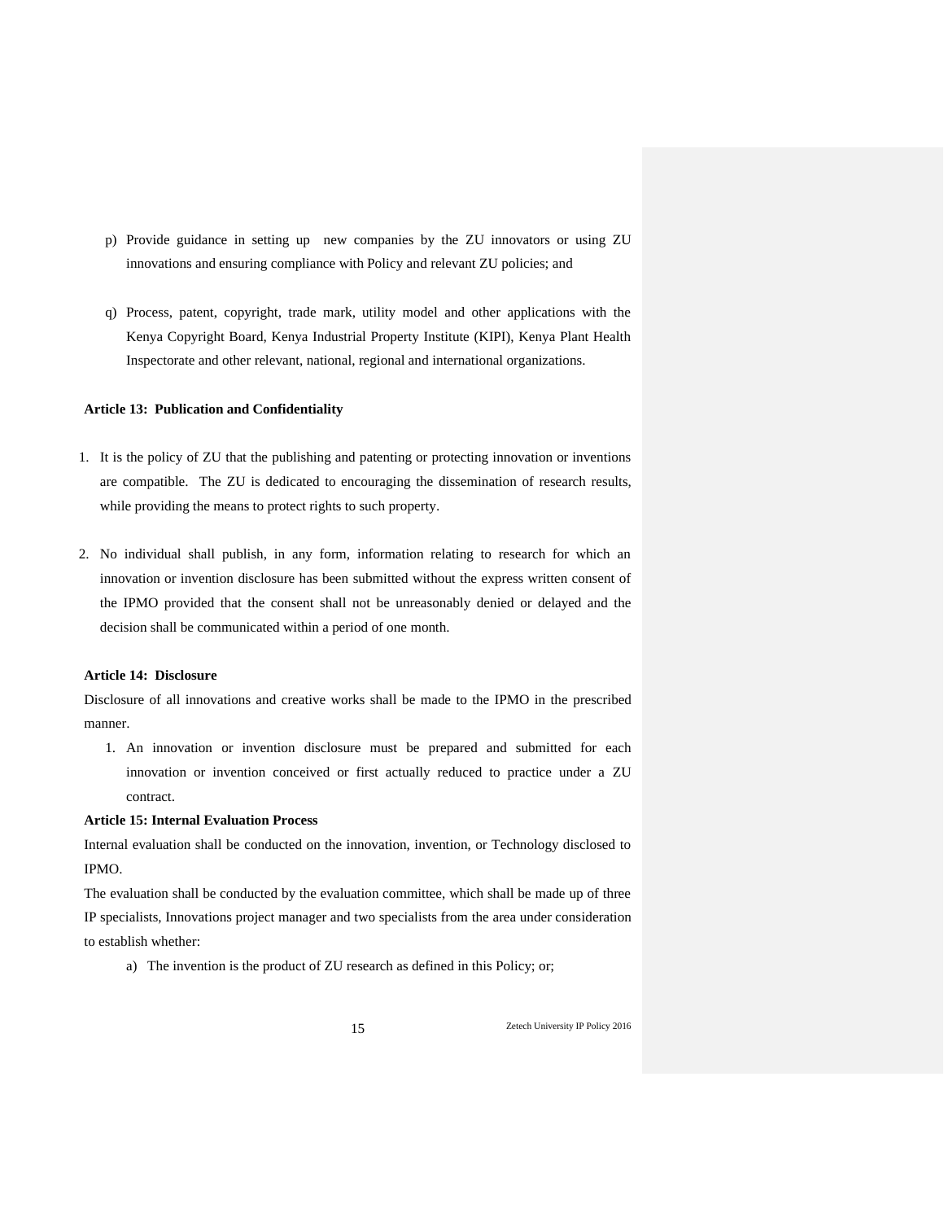- p) Provide guidance in setting up new companies by the ZU innovators or using ZU innovations and ensuring compliance with Policy and relevant ZU policies; and
- q) Process, patent, copyright, trade mark, utility model and other applications with the Kenya Copyright Board, Kenya Industrial Property Institute (KIPI), Kenya Plant Health Inspectorate and other relevant, national, regional and international organizations.

## **Article 13: Publication and Confidentiality**

- 1. It is the policy of ZU that the publishing and patenting or protecting innovation or inventions are compatible. The ZU is dedicated to encouraging the dissemination of research results, while providing the means to protect rights to such property.
- 2. No individual shall publish, in any form, information relating to research for which an innovation or invention disclosure has been submitted without the express written consent of the IPMO provided that the consent shall not be unreasonably denied or delayed and the decision shall be communicated within a period of one month.

#### **Article 14: Disclosure**

Disclosure of all innovations and creative works shall be made to the IPMO in the prescribed manner.

1. An innovation or invention disclosure must be prepared and submitted for each innovation or invention conceived or first actually reduced to practice under a ZU contract.

## **Article 15: Internal Evaluation Process**

Internal evaluation shall be conducted on the innovation, invention, or Technology disclosed to IPMO.

The evaluation shall be conducted by the evaluation committee, which shall be made up of three IP specialists, Innovations project manager and two specialists from the area under consideration to establish whether:

a) The invention is the product of ZU research as defined in this Policy; or;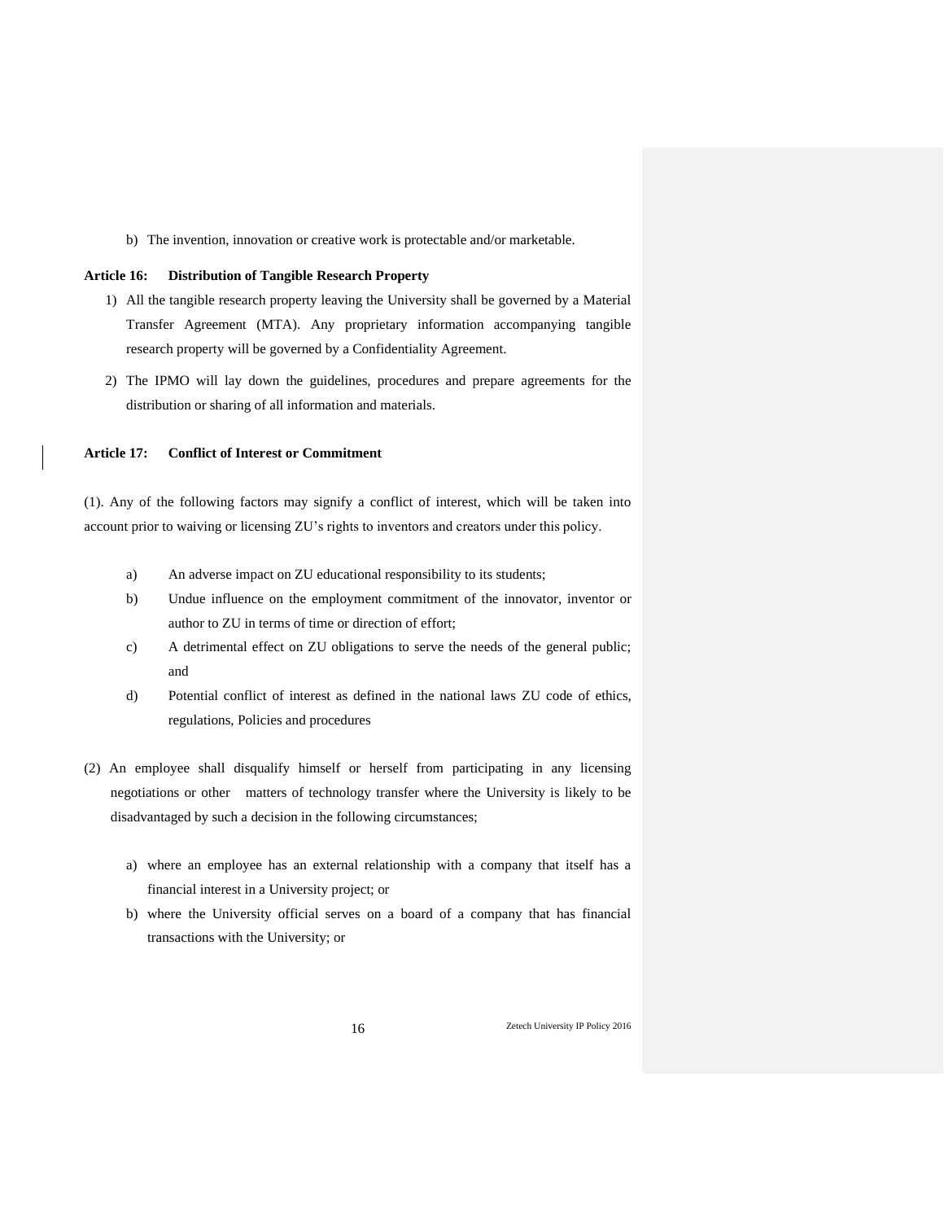b) The invention, innovation or creative work is protectable and/or marketable.

## **Article 16: Distribution of Tangible Research Property**

- 1) All the tangible research property leaving the University shall be governed by a Material Transfer Agreement (MTA). Any proprietary information accompanying tangible research property will be governed by a Confidentiality Agreement.
- 2) The IPMO will lay down the guidelines, procedures and prepare agreements for the distribution or sharing of all information and materials.

## **Article 17: Conflict of Interest or Commitment**

(1). Any of the following factors may signify a conflict of interest, which will be taken into account prior to waiving or licensing ZU's rights to inventors and creators under this policy.

- a) An adverse impact on ZU educational responsibility to its students;
- b) Undue influence on the employment commitment of the innovator, inventor or author to ZU in terms of time or direction of effort;
- c) A detrimental effect on ZU obligations to serve the needs of the general public; and
- d) Potential conflict of interest as defined in the national laws ZU code of ethics, regulations, Policies and procedures
- (2) An employee shall disqualify himself or herself from participating in any licensing negotiations or other matters of technology transfer where the University is likely to be disadvantaged by such a decision in the following circumstances;
	- a) where an employee has an external relationship with a company that itself has a financial interest in a University project; or
	- b) where the University official serves on a board of a company that has financial transactions with the University; or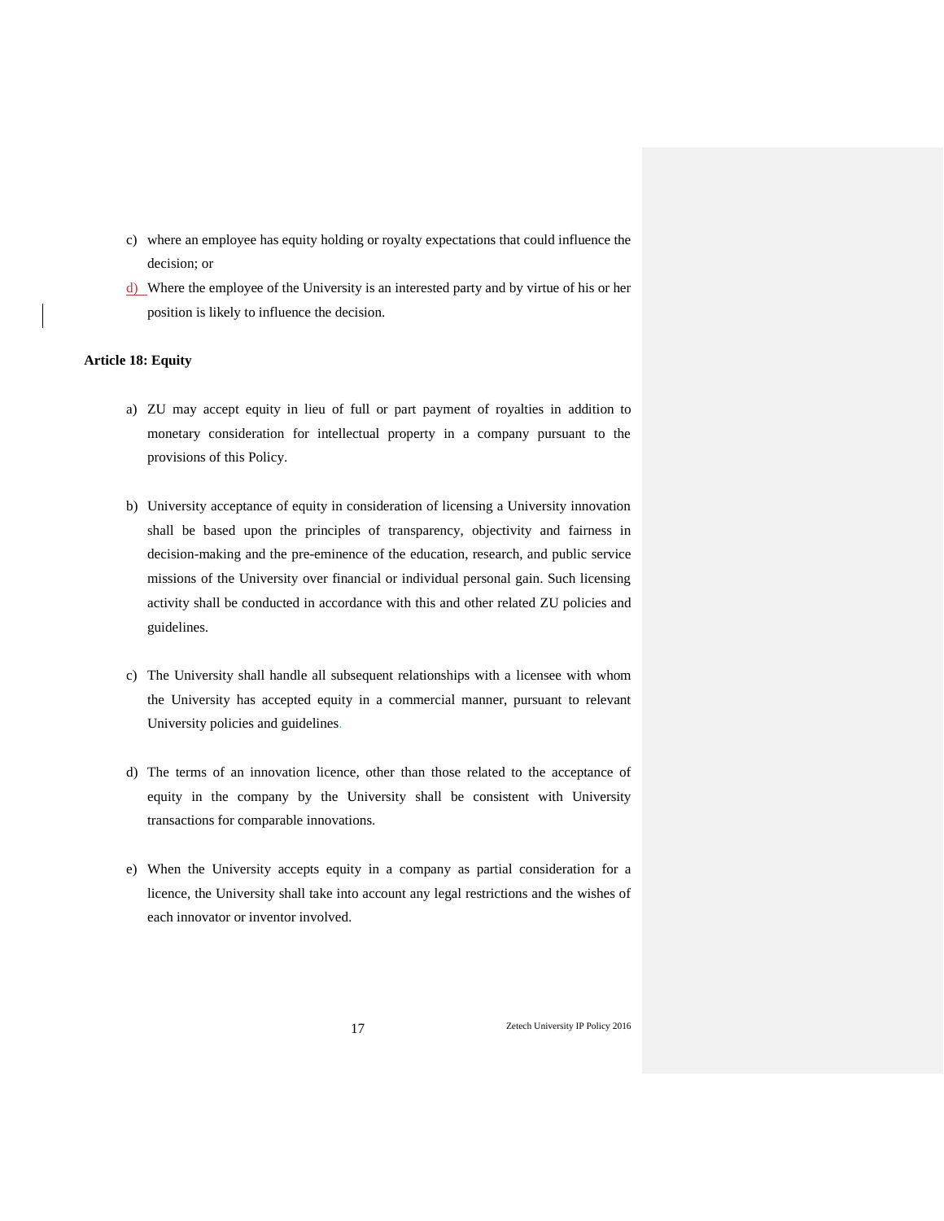- c) where an employee has equity holding or royalty expectations that could influence the decision; or
- d) Where the employee of the University is an interested party and by virtue of his or her position is likely to influence the decision.

## **Article 18: Equity**

- a) ZU may accept equity in lieu of full or part payment of royalties in addition to monetary consideration for intellectual property in a company pursuant to the provisions of this Policy.
- b) University acceptance of equity in consideration of licensing a University innovation shall be based upon the principles of transparency, objectivity and fairness in decision-making and the pre-eminence of the education, research, and public service missions of the University over financial or individual personal gain. Such licensing activity shall be conducted in accordance with this and other related ZU policies and guidelines.
- c) The University shall handle all subsequent relationships with a licensee with whom the University has accepted equity in a commercial manner, pursuant to relevant University policies and guidelines.
- d) The terms of an innovation licence, other than those related to the acceptance of equity in the company by the University shall be consistent with University transactions for comparable innovations.
- e) When the University accepts equity in a company as partial consideration for a licence, the University shall take into account any legal restrictions and the wishes of each innovator or inventor involved.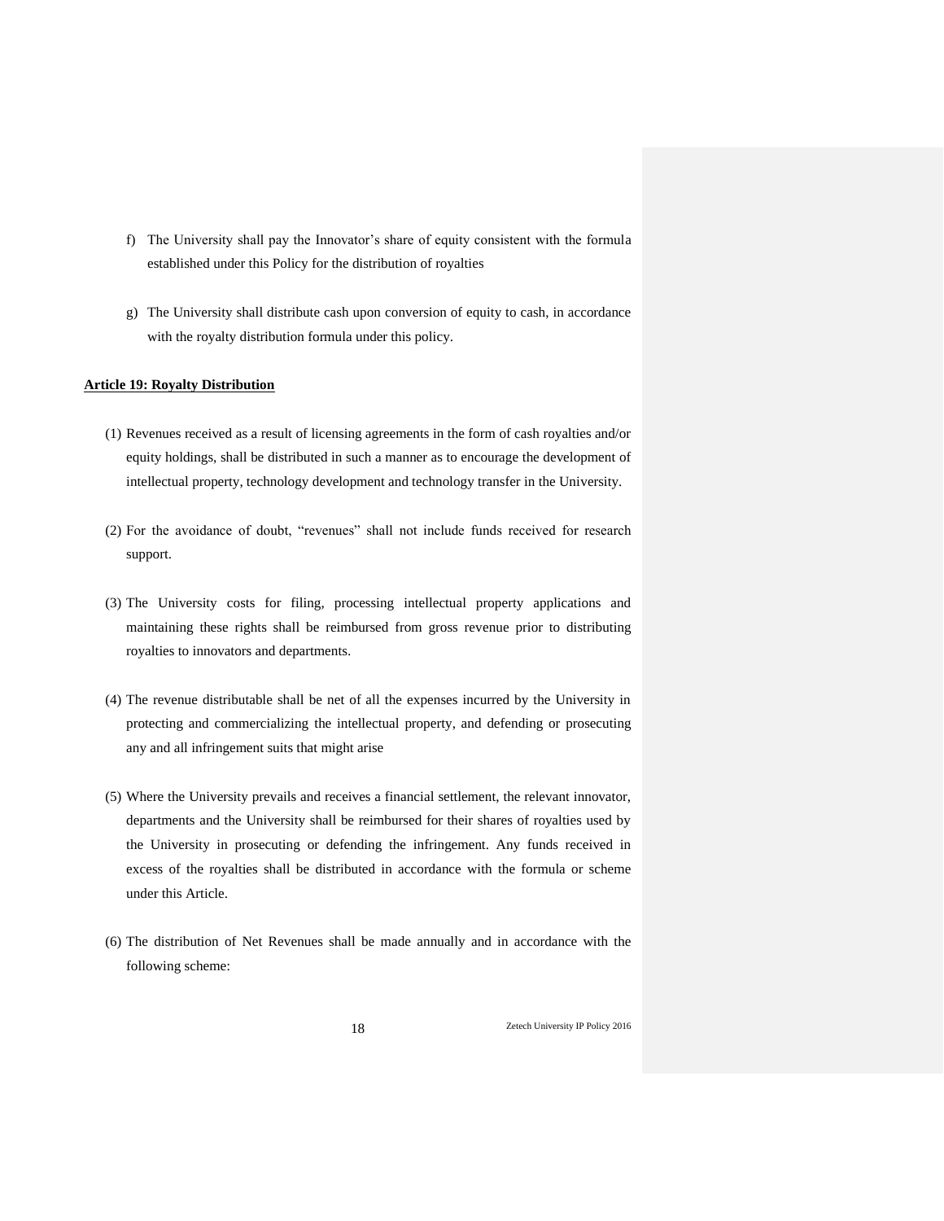- f) The University shall pay the Innovator's share of equity consistent with the formula established under this Policy for the distribution of royalties
- g) The University shall distribute cash upon conversion of equity to cash, in accordance with the royalty distribution formula under this policy.

## **Article 19: Royalty Distribution**

- (1) Revenues received as a result of licensing agreements in the form of cash royalties and/or equity holdings, shall be distributed in such a manner as to encourage the development of intellectual property, technology development and technology transfer in the University.
- (2) For the avoidance of doubt, "revenues" shall not include funds received for research support.
- (3) The University costs for filing, processing intellectual property applications and maintaining these rights shall be reimbursed from gross revenue prior to distributing royalties to innovators and departments.
- (4) The revenue distributable shall be net of all the expenses incurred by the University in protecting and commercializing the intellectual property, and defending or prosecuting any and all infringement suits that might arise
- (5) Where the University prevails and receives a financial settlement, the relevant innovator, departments and the University shall be reimbursed for their shares of royalties used by the University in prosecuting or defending the infringement. Any funds received in excess of the royalties shall be distributed in accordance with the formula or scheme under this Article.
- (6) The distribution of Net Revenues shall be made annually and in accordance with the following scheme: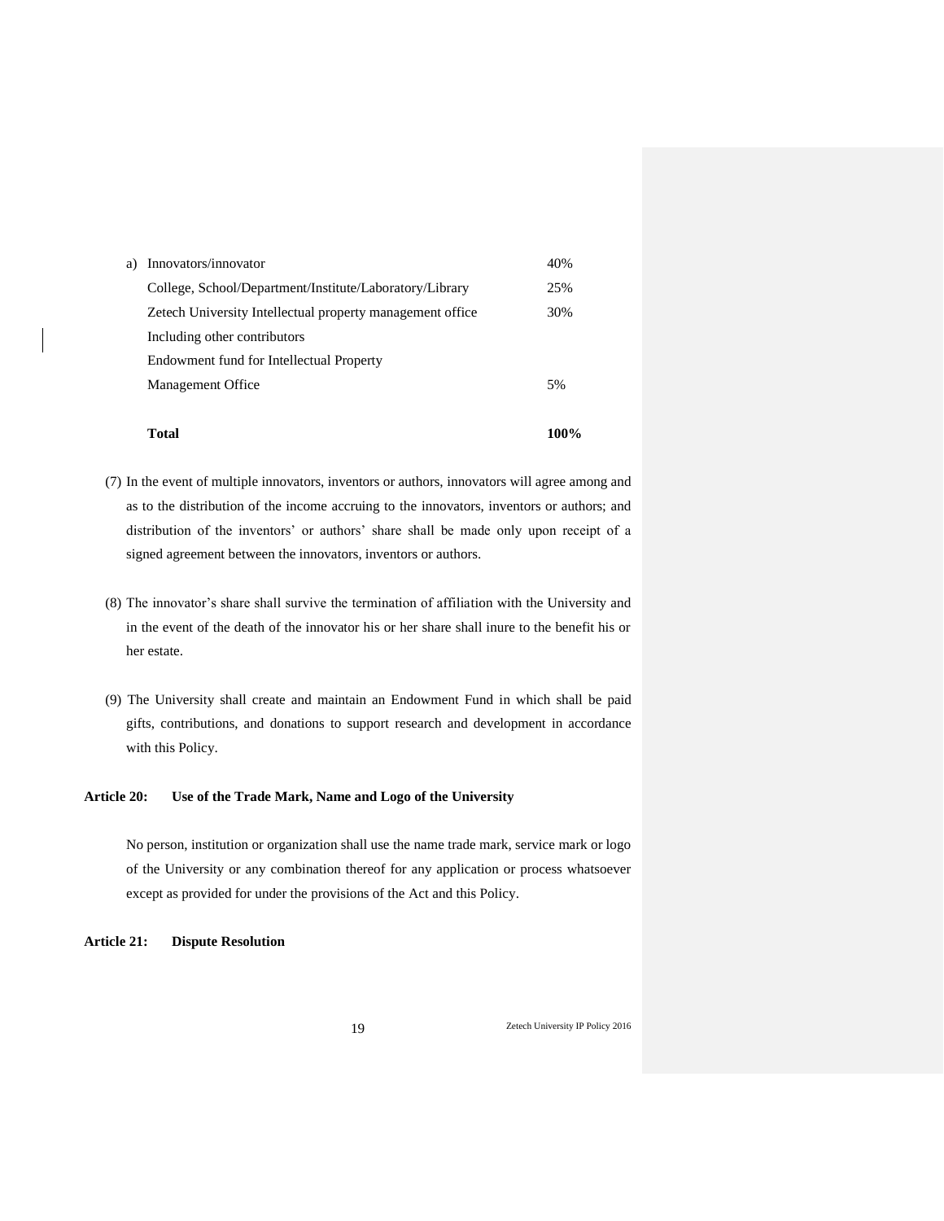| a) | Innovators/innovator                                       | 40% |
|----|------------------------------------------------------------|-----|
|    | College, School/Department/Institute/Laboratory/Library    | 25% |
|    | Zetech University Intellectual property management office. | 30% |
|    | Including other contributors                               |     |
|    | Endowment fund for Intellectual Property                   |     |
|    | Management Office                                          | 5%  |
|    |                                                            |     |

 **Total 100%**

(7) In the event of multiple innovators, inventors or authors, innovators will agree among and as to the distribution of the income accruing to the innovators, inventors or authors; and

distribution of the inventors' or authors' share shall be made only upon receipt of a

- (8) The innovator's share shall survive the termination of affiliation with the University and in the event of the death of the innovator his or her share shall inure to the benefit his or
- (9) The University shall create and maintain an Endowment Fund in which shall be paid gifts, contributions, and donations to support research and development in accordance with this Policy.

## **Article 20: Use of the Trade Mark, Name and Logo of the University**

signed agreement between the innovators, inventors or authors.

No person, institution or organization shall use the name trade mark, service mark or logo of the University or any combination thereof for any application or process whatsoever except as provided for under the provisions of the Act and this Policy.

**Article 21: Dispute Resolution** 

her estate.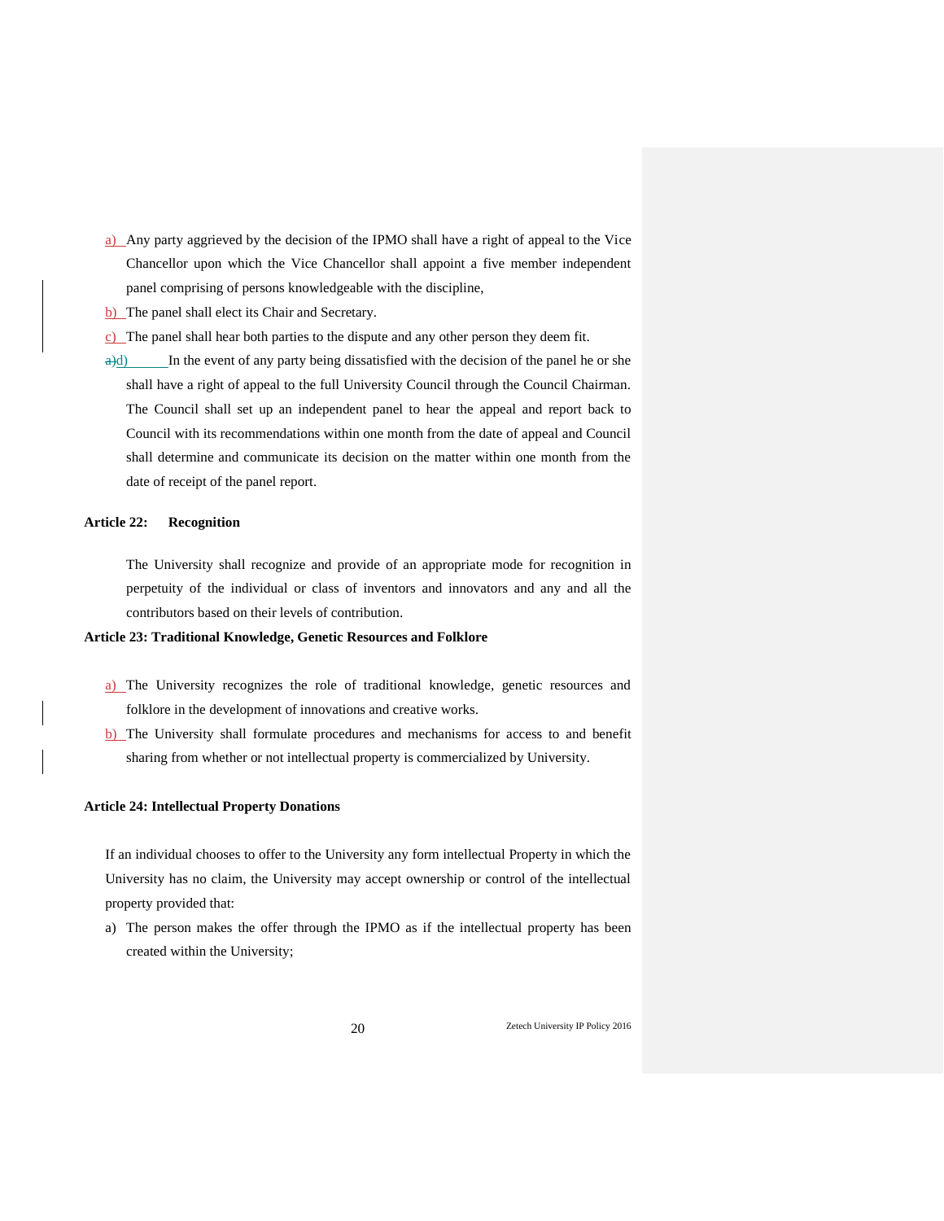- a) Any party aggrieved by the decision of the IPMO shall have a right of appeal to the Vice Chancellor upon which the Vice Chancellor shall appoint a five member independent panel comprising of persons knowledgeable with the discipline,
- b) The panel shall elect its Chair and Secretary.
- c) The panel shall hear both parties to the dispute and any other person they deem fit.
- $\frac{a}{d}$  In the event of any party being dissatisfied with the decision of the panel he or she shall have a right of appeal to the full University Council through the Council Chairman. The Council shall set up an independent panel to hear the appeal and report back to Council with its recommendations within one month from the date of appeal and Council shall determine and communicate its decision on the matter within one month from the date of receipt of the panel report.

## **Article 22: Recognition**

The University shall recognize and provide of an appropriate mode for recognition in perpetuity of the individual or class of inventors and innovators and any and all the contributors based on their levels of contribution.

## **Article 23: Traditional Knowledge, Genetic Resources and Folklore**

- a) The University recognizes the role of traditional knowledge, genetic resources and folklore in the development of innovations and creative works.
- b) The University shall formulate procedures and mechanisms for access to and benefit sharing from whether or not intellectual property is commercialized by University.

### **Article 24: Intellectual Property Donations**

If an individual chooses to offer to the University any form intellectual Property in which the University has no claim, the University may accept ownership or control of the intellectual property provided that:

a) The person makes the offer through the IPMO as if the intellectual property has been created within the University;